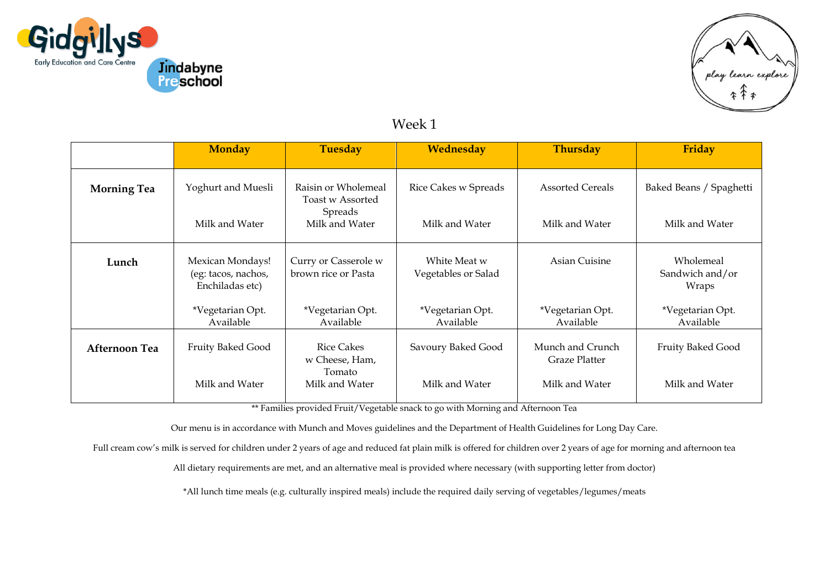



## Week 1

|                      | <b>Monday</b>                                              | <b>Tuesday</b>                              | Wednesday                           | <b>Thursday</b>                          | Friday                                |
|----------------------|------------------------------------------------------------|---------------------------------------------|-------------------------------------|------------------------------------------|---------------------------------------|
| <b>Morning Tea</b>   | Yoghurt and Muesli                                         | Raisin or Wholemeal<br>Toast w Assorted     | Rice Cakes w Spreads                | <b>Assorted Cereals</b>                  | Baked Beans / Spaghetti               |
|                      | Milk and Water                                             | Spreads<br>Milk and Water                   | Milk and Water                      | Milk and Water                           | Milk and Water                        |
| Lunch                | Mexican Mondays!<br>(eg: tacos, nachos,<br>Enchiladas etc) | Curry or Casserole w<br>brown rice or Pasta | White Meat w<br>Vegetables or Salad | Asian Cuisine                            | Wholemeal<br>Sandwich and/or<br>Wraps |
|                      | *Vegetarian Opt.<br>Available                              | *Vegetarian Opt.<br>Available               | *Vegetarian Opt.<br>Available       | *Vegetarian Opt.<br>Available            | *Vegetarian Opt.<br>Available         |
| <b>Afternoon Tea</b> | Fruity Baked Good                                          | <b>Rice Cakes</b><br>w Cheese, Ham,         | Savoury Baked Good                  | Munch and Crunch<br><b>Graze Platter</b> | Fruity Baked Good                     |
|                      | Milk and Water                                             | Tomato<br>Milk and Water                    | Milk and Water                      | Milk and Water                           | Milk and Water                        |

\*\* Families provided Fruit/Vegetable snack to go with Morning and Afternoon Tea

Our menu is in accordance with Munch and Moves guidelines and the Department of Health Guidelines for Long Day Care.

Full cream cow's milk is served for children under 2 years of age and reduced fat plain milk is offered for children over 2 years of age for morning and afternoon tea

All dietary requirements are met, and an alternative meal is provided where necessary (with supporting letter from doctor)

\*All lunch time meals (e.g. culturally inspired meals) include the required daily serving of vegetables/legumes/meats